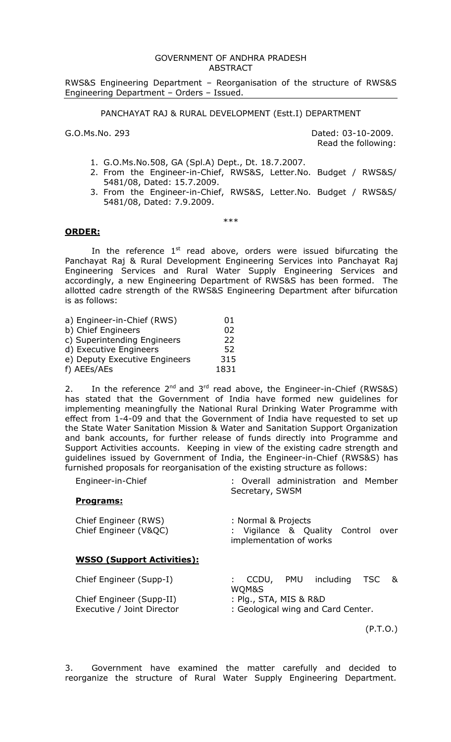### GOVERNMENT OF ANDHRA PRADESH ABSTRACT

RWS&S Engineering Department – Reorganisation of the structure of RWS&S Engineering Department – Orders – Issued.

### PANCHAYAT RAJ & RURAL DEVELOPMENT (Estt.I) DEPARTMENT

G.O.Ms.No. 293 Dated: 03-10-2009. Read the following:

- 1. G.O.Ms.No.508, GA (Spl.A) Dept., Dt. 18.7.2007.
- 2. From the Engineer-in-Chief, RWS&S, Letter.No. Budget / RWS&S/ 5481/08, Dated: 15.7.2009.
- 3. From the Engineer-in-Chief, RWS&S, Letter.No. Budget / RWS&S/ 5481/08, Dated: 7.9.2009.

\*\*\*

## **ORDER:**

In the reference  $1<sup>st</sup>$  read above, orders were issued bifurcating the Panchayat Raj & Rural Development Engineering Services into Panchayat Raj Engineering Services and Rural Water Supply Engineering Services and accordingly, a new Engineering Department of RWS&S has been formed. The allotted cadre strength of the RWS&S Engineering Department after bifurcation is as follows:

| a) Engineer-in-Chief (RWS)    | 01   |
|-------------------------------|------|
| b) Chief Engineers            | 02   |
| c) Superintending Engineers   | 22   |
| d) Executive Engineers        | 52   |
| e) Deputy Executive Engineers | 315  |
| f) AEEs/AEs                   | 1831 |

2. In the reference  $2^{nd}$  and  $3^{rd}$  read above, the Engineer-in-Chief (RWS&S) has stated that the Government of India have formed new guidelines for implementing meaningfully the National Rural Drinking Water Programme with effect from 1-4-09 and that the Government of India have requested to set up the State Water Sanitation Mission & Water and Sanitation Support Organization and bank accounts, for further release of funds directly into Programme and Support Activities accounts. Keeping in view of the existing cadre strength and guidelines issued by Government of India, the Engineer-in-Chief (RWS&S) has furnished proposals for reorganisation of the existing structure as follows:

| Engineer-in-Chief |                 | : Overall administration and Member |  |
|-------------------|-----------------|-------------------------------------|--|
|                   | Secretary, SWSM |                                     |  |

### **Programs:**

| Chief Engineer (RWS)<br>Chief Engineer (V&QC)          | : Normal & Projects<br>: Vigilance & Quality Control over<br>implementation of works |
|--------------------------------------------------------|--------------------------------------------------------------------------------------|
| <b>WSSO (Support Activities):</b>                      |                                                                                      |
| Chief Engineer (Supp-I)                                | : CCDU, PMU including TSC &<br>WQM&S                                                 |
| Chief Engineer (Supp-II)<br>Executive / Joint Director | : Plg., STA, MIS & R&D<br>: Geological wing and Card Center.                         |

(P.T.O.)

3. Government have examined the matter carefully and decided to reorganize the structure of Rural Water Supply Engineering Department.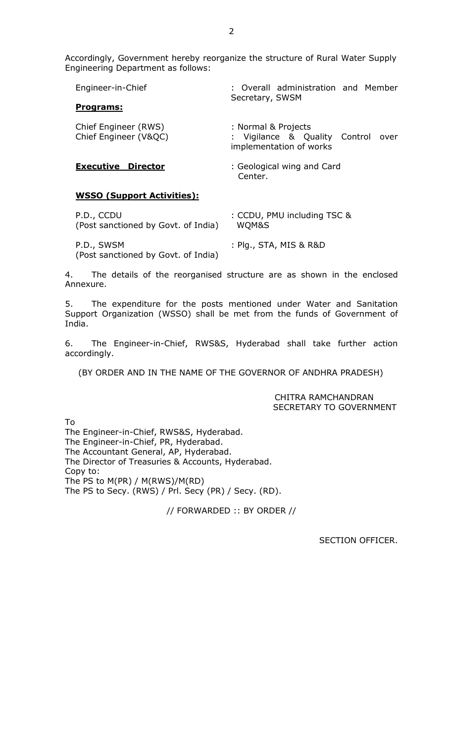Accordingly, Government hereby reorganize the structure of Rural Water Supply Engineering Department as follows:

| Engineer-in-Chief                             | : Overall administration and Member<br>Secretary, SWSM                               |
|-----------------------------------------------|--------------------------------------------------------------------------------------|
| Programs:                                     |                                                                                      |
| Chief Engineer (RWS)<br>Chief Engineer (V&QC) | : Normal & Projects<br>: Vigilance & Quality Control over<br>implementation of works |
| <b>Executive Director</b>                     | : Geological wing and Card<br>Center.                                                |

# **WSSO (Support Activities):**

| P.D., CCDU                                        | : CCDU, PMU including TSC & |
|---------------------------------------------------|-----------------------------|
| (Post sanctioned by Govt. of India)               | WOM&S                       |
| P.D., SWSM<br>(Post sanctioned by Govt. of India) | : Plg., STA, MIS & R&D      |

4. The details of the reorganised structure are as shown in the enclosed Annexure.

5. The expenditure for the posts mentioned under Water and Sanitation Support Organization (WSSO) shall be met from the funds of Government of India.

6. The Engineer-in-Chief, RWS&S, Hyderabad shall take further action accordingly.

(BY ORDER AND IN THE NAME OF THE GOVERNOR OF ANDHRA PRADESH)

CHITRA RAMCHANDRAN SECRETARY TO GOVERNMENT

To

The Engineer-in-Chief, RWS&S, Hyderabad. The Engineer-in-Chief, PR, Hyderabad. The Accountant General, AP, Hyderabad. The Director of Treasuries & Accounts, Hyderabad. Copy to: The PS to M(PR) / M(RWS)/M(RD) The PS to Secy. (RWS) / Prl. Secy (PR) / Secy. (RD).

// FORWARDED :: BY ORDER //

SECTION OFFICER.